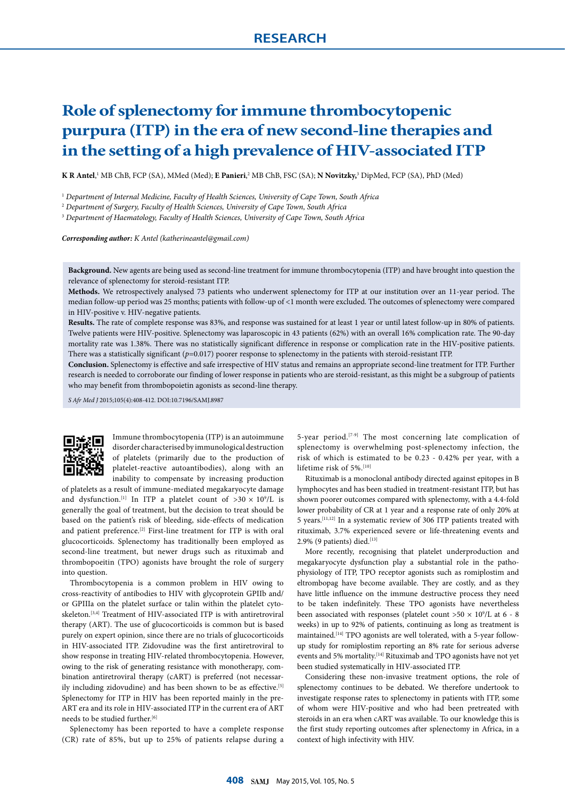# **Role of splenectomy for immune thrombocytopenic purpura (ITP) in the era of new second-line therapies and in the setting of a high prevalence of HIV-associated ITP**

 $K$  **R** Antel,<sup>1</sup> MB ChB, FCP (SA), MMed (Med); **E Panieri**,<sup>2</sup> MB ChB, FSC (SA); **N Novitzky,**<sup>3</sup> DipMed, FCP (SA), PhD (Med)

<sup>1</sup> *Department of Internal Medicine, Faculty of Health Sciences, University of Cape Town, South Africa*

<sup>2</sup> *Department of Surgery, Faculty of Health Sciences, University of Cape Town, South Africa*

<sup>3</sup> *Department of Haematology, Faculty of Health Sciences, University of Cape Town, South Africa*

*Corresponding author: K Antel (katherineantel@gmail.com)*

**Background.** New agents are being used as second-line treatment for immune thrombocytopenia (ITP) and have brought into question the relevance of splenectomy for steroid-resistant ITP.

**Methods.** We retrospectively analysed 73 patients who underwent splenectomy for ITP at our institution over an 11-year period. The median follow-up period was 25 months; patients with follow-up of <1 month were excluded. The outcomes of splenectomy were compared in HIV-positive v. HIV-negative patients.

**Results.** The rate of complete response was 83%, and response was sustained for at least 1 year or until latest follow-up in 80% of patients. Twelve patients were HIV-positive. Splenectomy was laparoscopic in 43 patients (62%) with an overall 16% complication rate. The 90-day mortality rate was 1.38%. There was no statistically significant difference in response or complication rate in the HIV-positive patients. There was a statistically significant  $(p=0.017)$  poorer response to splenectomy in the patients with steroid-resistant ITP.

**Conclusion.** Splenectomy is effective and safe irrespective of HIV status and remains an appropriate second-line treatment for ITP. Further research is needed to corroborate our finding of lower response in patients who are steroid-resistant, as this might be a subgroup of patients who may benefit from thrombopoietin agonists as second-line therapy.

*S Afr Med J* 2015;105(4):408-412. DOI:10.7196/SAMJ.8987



Immune thrombocytopenia (ITP) is an autoimmune disorder characterised by immunological destruction of platelets (primarily due to the production of platelet-reactive autoantibodies), along with an inability to compensate by increasing production

of platelets as a result of immune-mediated megakaryocyte damage and dysfunction.<sup>[1]</sup> In ITP a platelet count of  $>30 \times 10^9$ /L is generally the goal of treatment, but the decision to treat should be based on the patient's risk of bleeding, side-effects of medication and patient preference.<sup>[2]</sup> First-line treatment for ITP is with oral glucocorticoids. Splenectomy has traditionally been employed as second-line treatment, but newer drugs such as rituximab and thrombopoeitin (TPO) agonists have brought the role of surgery into question.

Thrombocytopenia is a common problem in HIV owing to cross-reactivity of antibodies to HIV with glycoprotein GPIIb and/ or GPIIIa on the platelet surface or talin within the platelet cytoskeleton.<sup>[3,4]</sup> Treatment of HIV-associated ITP is with antiretroviral therapy (ART). The use of glucocorticoids is common but is based purely on expert opinion, since there are no trials of glucocorticoids in HIV-associated ITP. Zidovudine was the first antiretroviral to show response in treating HIV-related thrombocytopenia. However, owing to the risk of generating resistance with monotherapy, combination antiretroviral therapy (cART) is preferred (not necessarily including zidovudine) and has been shown to be as effective.<sup>[5]</sup> Splenectomy for ITP in HIV has been reported mainly in the pre-ART era and its role in HIV-associated ITP in the current era of ART needs to be studied further.<sup>[6]</sup>

Splenectomy has been reported to have a complete response (CR) rate of 85%, but up to 25% of patients relapse during a 5-year period.[7-9] The most concerning late complication of splenectomy is overwhelming post-splenectomy infection, the risk of which is estimated to be 0.23 - 0.42% per year, with a lifetime risk of 5%.<sup>[10]</sup>

Rituximab is a monoclonal antibody directed against epitopes in B lymphocytes and has been studied in treatment-resistant ITP, but has shown poorer outcomes compared with splenectomy, with a 4.4-fold lower probability of CR at 1 year and a response rate of only 20% at 5 years.[11,12] In a systematic review of 306 ITP patients treated with rituximab, 3.7% experienced severe or life-threatening events and 2.9% (9 patients) died.<sup>[13]</sup>

More recently, recognising that platelet underproduction and megakaryocyte dysfunction play a substantial role in the pathophysiology of ITP, TPO receptor agonists such as romiplostim and eltrombopag have become available. They are costly, and as they have little influence on the immune destructive process they need to be taken indefinitely. These TPO agonists have nevertheless been associated with responses (platelet count  $>50 \times 10^9$ /L at 6 - 8 weeks) in up to 92% of patients, continuing as long as treatment is maintained.<sup>[14]</sup> TPO agonists are well tolerated, with a 5-year followup study for romiplostim reporting an 8% rate for serious adverse events and 5% mortality.<sup>[14]</sup> Rituximab and TPO agonists have not yet been studied systematically in HIV-associated ITP.

Considering these non-invasive treatment options, the role of splenectomy continues to be debated. We therefore undertook to investigate response rates to splenectomy in patients with ITP, some of whom were HIV-positive and who had been pretreated with steroids in an era when cART was available. To our knowledge this is the first study reporting outcomes after splenectomy in Africa, in a context of high infectivity with HIV.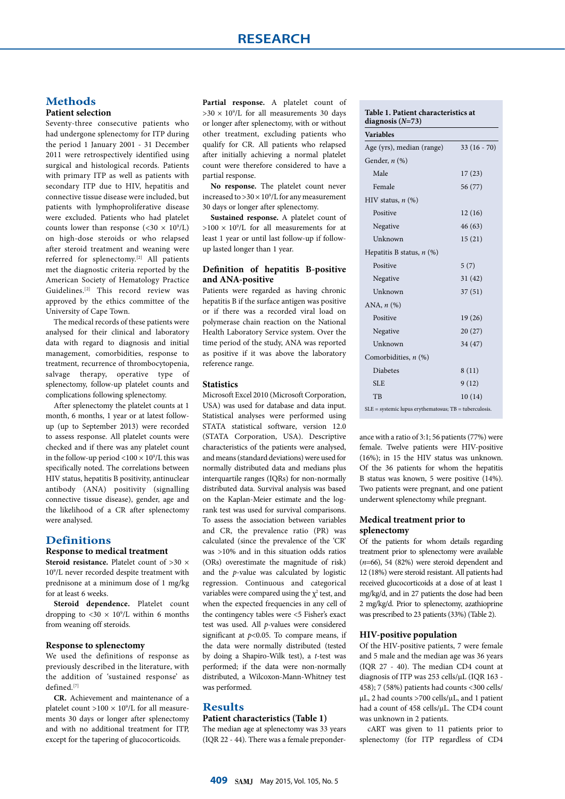# **Methods**

## **Patient selection**

Seventy-three consecutive patients who had undergone splenectomy for ITP during the period 1 January 2001 - 31 December 2011 were retrospectively identified using surgical and histological records. Patients with primary ITP as well as patients with secondary ITP due to HIV, hepatitis and connective tissue disease were included, but patients with lymphoproliferative disease were excluded. Patients who had platelet counts lower than response  $( $30 \times 10^9$ /L)$ on high-dose steroids or who relapsed after steroid treatment and weaning were referred for splenectomy.[2] All patients met the diagnostic criteria reported by the American Society of Hematology Practice Guidelines.[2] This record review was approved by the ethics committee of the University of Cape Town.

The medical records of these patients were analysed for their clinical and laboratory data with regard to diagnosis and initial management, comorbidities, response to treatment, recurrence of thrombocytopenia, salvage therapy, operative type of splenectomy, follow-up platelet counts and complications following splenectomy.

After splenectomy the platelet counts at 1 month, 6 months, 1 year or at latest followup (up to September 2013) were recorded to assess response. All platelet counts were checked and if there was any platelet count in the follow-up period <100  $\times$  10 $^9$ /L this was specifically noted. The correlations between HIV status, hepatitis B positivity, antinuclear antibody (ANA) positivity (signalling connective tissue disease), gender, age and the likelihood of a CR after splenectomy were analysed.

#### **Definitions**

#### **Response to medical treatment**

**Steroid resistance.** Platelet count of >30  $\times$ 109 /L never recorded despite treatment with prednisone at a minimum dose of 1 mg/kg for at least 6 weeks.

**Steroid dependence.** Platelet count dropping to  $<$  30  $\times$  10<sup>9</sup>/L within 6 months from weaning off steroids.

## **Response to splenectomy**

We used the definitions of response as previously described in the literature, with the addition of 'sustained response' as defined.[7]

**CR.** Achievement and maintenance of a platelet count  $>100 \times 10^9$ /L for all measurements 30 days or longer after splenectomy and with no additional treatment for ITP, except for the tapering of glucocorticoids.

**Partial response.** A platelet count of  $>30 \times 10^9$ /L for all measurements 30 days or longer after splenectomy, with or without other treatment, excluding patients who qualify for CR. All patients who relapsed after initially achieving a normal platelet count were therefore considered to have a partial response.

**No response.** The platelet count never increased to  $>$  30  $\times$  10 $^{\circ}$ /L for any measurement 30 days or longer after splenectomy.

**Sustained response.** A platelet count of  $>100 \times 10^9$ /L for all measurements for at least 1 year or until last follow-up if followup lasted longer than 1 year.

## **Definition of hepatitis B-positive and ANA-positive**

Patients were regarded as having chronic hepatitis B if the surface antigen was positive or if there was a recorded viral load on polymerase chain reaction on the National Health Laboratory Service system. Over the time period of the study, ANA was reported as positive if it was above the laboratory reference range.

## **Statistics**

Microsoft Excel 2010 (Microsoft Corporation, USA) was used for database and data input. Statistical analyses were performed using STATA statistical software, version 12.0 (STATA Corporation, USA). Descriptive characteristics of the patients were analysed, and means (standard deviations) were used for normally distributed data and medians plus interquartile ranges (IQRs) for non-normally distributed data. Survival analysis was based on the Kaplan-Meier estimate and the logrank test was used for survival comparisons. To assess the association between variables and CR, the prevalence ratio (PR) was calculated (since the prevalence of the 'CR' was >10% and in this situation odds ratios (ORs) overestimate the magnitude of risk) and the *p*-value was calculated by logistic regression. Continuous and categorical variables were compared using the  $\chi^2$  test, and when the expected frequencies in any cell of the contingency tables were <5 Fisher's exact test was used. All *p*-values were considered significant at  $p<0.05$ . To compare means, if the data were normally distributed (tested by doing a Shapiro-Wilk test), a *t*-test was performed; if the data were non-normally distributed, a Wilcoxon-Mann-Whitney test was performed.

## **Results**

#### **Patient characteristics (Table 1)**

The median age at splenectomy was 33 years (IQR 22 - 44). There was a female preponder-

#### **Table 1. Patient characteristics at diagnosis (***N***=73)**

| <b>Variables</b>                                           |             |  |  |  |
|------------------------------------------------------------|-------------|--|--|--|
| Age (yrs), median (range)                                  | $33(16-70)$ |  |  |  |
| Gender, $n$ $(\%)$                                         |             |  |  |  |
| Male                                                       | 17(23)      |  |  |  |
| Female                                                     | 56 (77)     |  |  |  |
| HIV status, $n$ $(\%)$                                     |             |  |  |  |
| Positive                                                   | 12(16)      |  |  |  |
| Negative                                                   | 46(63)      |  |  |  |
| Unknown                                                    | 15(21)      |  |  |  |
| Hepatitis B status, $n$ (%)                                |             |  |  |  |
| Positive                                                   | 5(7)        |  |  |  |
| Negative                                                   | 31(42)      |  |  |  |
| Unknown                                                    | 37(51)      |  |  |  |
| ANA, $n$ $(\%)$                                            |             |  |  |  |
| Positive                                                   | 19(26)      |  |  |  |
| Negative                                                   | 20(27)      |  |  |  |
| Unknown                                                    | 34 (47)     |  |  |  |
| Comorbidities, $n$ (%)                                     |             |  |  |  |
| <b>Diabetes</b>                                            | 8(11)       |  |  |  |
| <b>SLE</b>                                                 | 9(12)       |  |  |  |
| TB                                                         | 10(14)      |  |  |  |
| $SLE$ = systemic lupus erythematosus; $TB$ = tuberculosis. |             |  |  |  |

ance with a ratio of 3:1; 56 patients (77%) were female. Twelve patients were HIV-positive (16%); in 15 the HIV status was unknown. Of the 36 patients for whom the hepatitis B status was known, 5 were positive (14%). Two patients were pregnant, and one patient underwent splenectomy while pregnant.

## **Medical treatment prior to splenectomy**

Of the patients for whom details regarding treatment prior to splenectomy were available (*n*=66), 54 (82%) were steroid dependent and 12 (18%) were steroid resistant. All patients had received glucocorticoids at a dose of at least 1 mg/kg/d, and in 27 patients the dose had been 2 mg/kg/d. Prior to splenectomy, azathioprine was prescribed to 23 patients (33%) (Table 2).

#### **HIV-positive population**

Of the HIV-positive patients, 7 were female and 5 male and the median age was 36 years (IQR 27 - 40). The median CD4 count at diagnosis of ITP was 253 cells/µL (IQR 163 - 458); 7 (58%) patients had counts <300 cells/ µL, 2 had counts >700 cells/µL, and 1 patient had a count of 458 cells/µL. The CD4 count was unknown in 2 patients.

cART was given to 11 patients prior to splenectomy (for ITP regardless of CD4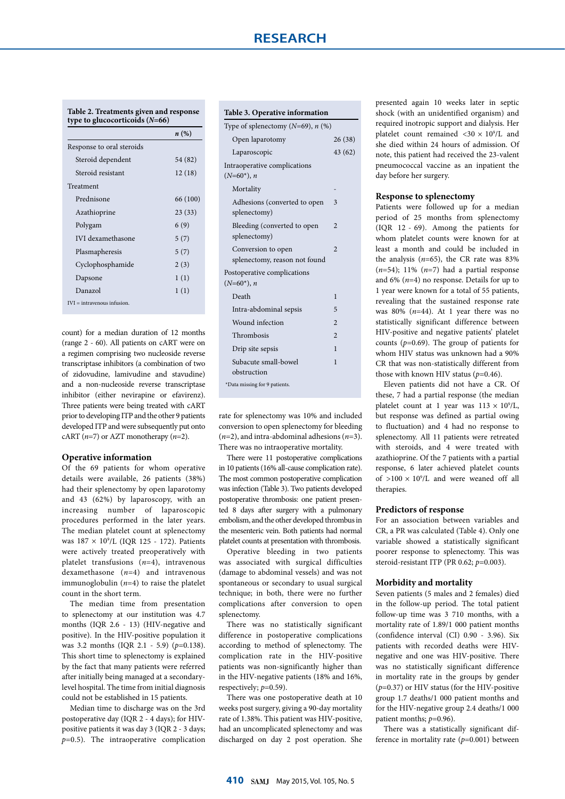|                           | n(%)     |  |  |
|---------------------------|----------|--|--|
| Response to oral steroids |          |  |  |
| Steroid dependent         | 54 (82)  |  |  |
| Steroid resistant         | 12(18)   |  |  |
| Treatment                 |          |  |  |
| Prednisone                | 66 (100) |  |  |
| Azathioprine              | 23(33)   |  |  |
| Polygam                   | 6 (9)    |  |  |
| <b>IVI</b> dexamethasone  | 5(7)     |  |  |
| Plasmapheresis            | 5(7)     |  |  |
| Cyclophosphamide          | 2(3)     |  |  |
| Dapsone                   | 1(1)     |  |  |
| Danazol                   | 1(1)     |  |  |

count) for a median duration of 12 months (range 2 - 60). All patients on cART were on a regimen comprising two nucleoside reverse transcriptase inhibitors (a combination of two of zidovudine, lamivudine and stavudine) and a non-nucleoside reverse transcriptase inhibitor (either nevirapine or efavirenz). Three patients were being treated with cART prior to developing ITP and the other 9 patients developed ITP and were subsequently put onto cART (*n*=7) or AZT monotherapy (*n*=2).

#### **Operative information**

Of the 69 patients for whom operative details were available, 26 patients (38%) had their splenectomy by open laparotomy and 43 (62%) by laparoscopy, with an increasing number of laparoscopic procedures performed in the later years. The median platelet count at splenectomy was 187 × 109 /L (IQR 125 - 172). Patients were actively treated preoperatively with platelet transfusions (*n*=4), intravenous dexamethasone (*n*=4) and intravenous immunoglobulin (*n*=4) to raise the platelet count in the short term.

The median time from presentation to splenectomy at our institution was 4.7 months (IQR 2.6 - 13) (HIV-negative and positive). In the HIV-positive population it was 3.2 months (IQR 2.1 - 5.9) (*p*=0.138). This short time to splenectomy is explained by the fact that many patients were referred after initially being managed at a secondarylevel hospital. The time from initial diagnosis could not be established in 15 patients.

Median time to discharge was on the 3rd postoperative day (IQR 2 - 4 days); for HIVpositive patients it was day 3 (IQR 2 - 3 days; *p*=0.5). The intraoperative complication

## **Table 3. Operative information**

| raone 5: Operative information                      |                |
|-----------------------------------------------------|----------------|
| Type of splenectomy ( $N=69$ ), $n$ (%)             |                |
| Open laparotomy                                     | 26(38)         |
| Laparoscopic                                        | 43 (62)        |
| Intraoperative complications<br>$(N=60^*)$ , n      |                |
| Mortality                                           |                |
| Adhesions (converted to open<br>splenectomy)        | 3              |
| Bleeding (converted to open<br>splenectomy)         | $\overline{2}$ |
| Conversion to open<br>splenectomy, reason not found | $\overline{2}$ |
| Postoperative complications<br>$(N=60^*), n$        |                |
| Death                                               | 1              |
| Intra-abdominal sepsis                              | 5              |
| Wound infection                                     | $\overline{2}$ |
| Thrombosis                                          | $\mathfrak{D}$ |
| Drip site sepsis                                    | 1              |
| Subacute small-bowel<br>obstruction                 | 1              |
| *Data missing for 9 patients.                       |                |
|                                                     |                |

rate for splenectomy was 10% and included conversion to open splenectomy for bleeding (*n*=2), and intra-abdominal adhesions (*n*=3). There was no intraoperative mortality.

There were 11 postoperative complications in 10 patients (16% all-cause complication rate). The most common postoperative complication was infection (Table 3). Two patients developed postoperative thrombosis: one patient presented 8 days after surgery with a pulmonary embolism, and the other developed thrombus in the mesenteric vein. Both patients had normal platelet counts at presentation with thrombosis.

Operative bleeding in two patients was associated with surgical difficulties (damage to abdominal vessels) and was not spontaneous or secondary to usual surgical technique; in both, there were no further complications after conversion to open splenectomy.

There was no statistically significant difference in postoperative complications according to method of splenectomy. The complication rate in the HIV-positive patients was non-significantly higher than in the HIV-negative patients (18% and 16%, respectively;  $p=0.59$ ).

There was one postoperative death at 10 weeks post surgery, giving a 90-day mortality rate of 1.38%. This patient was HIV-positive, had an uncomplicated splenectomy and was discharged on day 2 post operation. She presented again 10 weeks later in septic shock (with an unidentified organism) and required inotropic support and dialysis. Her platelet count remained  $\langle 30 \times 10^9 \rangle$ L and she died within 24 hours of admission. Of note, this patient had received the 23-valent pneumococcal vaccine as an inpatient the day before her surgery.

#### **Response to splenectomy**

Patients were followed up for a median period of 25 months from splenectomy (IQR 12 - 69). Among the patients for whom platelet counts were known for at least a month and could be included in the analysis  $(n=65)$ , the CR rate was 83% (*n*=54); 11% (*n*=7) had a partial response and 6% (*n*=4) no response. Details for up to 1 year were known for a total of 55 patients, revealing that the sustained response rate was 80% (*n*=44). At 1 year there was no statistically significant difference between HIV-positive and negative patients' platelet counts (*p*=0.69). The group of patients for whom HIV status was unknown had a 90% CR that was non-statistically different from those with known HIV status (*p*=0.46).

Eleven patients did not have a CR. Of these, 7 had a partial response (the median platelet count at 1 year was  $113 \times 10^9$ /L, but response was defined as partial owing to fluctuation) and 4 had no response to splenectomy. All 11 patients were retreated with steroids, and 4 were treated with azathioprine. Of the 7 patients with a partial response, 6 later achieved platelet counts of  $>100 \times 10^9$ /L and were weaned off all therapies.

#### **Predictors of response**

For an association between variables and CR, a PR was calculated (Table 4). Only one variable showed a statistically significant poorer response to splenectomy. This was steroid-resistant ITP (PR 0.62; *p*=0.003).

#### **Morbidity and mortality**

Seven patients (5 males and 2 females) died in the follow-up period. The total patient follow-up time was 3 710 months, with a mortality rate of 1.89/1 000 patient months (confidence interval (CI) 0.90 - 3.96). Six patients with recorded deaths were HIVnegative and one was HIV-positive. There was no statistically significant difference in mortality rate in the groups by gender (*p*=0.37) or HIV status (for the HIV-positive group 1.7 deaths/1 000 patient months and for the HIV-negative group 2.4 deaths/1 000 patient months; *p*=0.96).

There was a statistically significant difference in mortality rate (*p*=0.001) between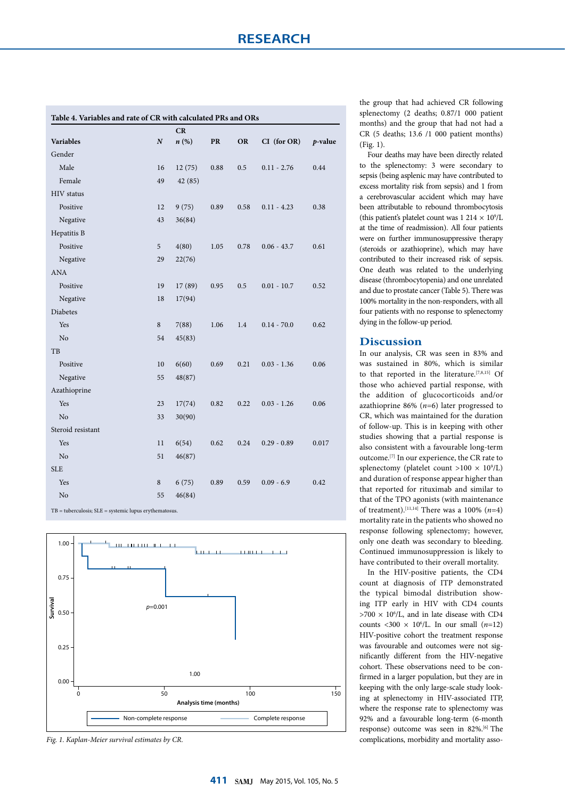| Table 4. Variables and rate of CR with calculated PRs and ORs |                  |         |            |      |                  |         |
|---------------------------------------------------------------|------------------|---------|------------|------|------------------|---------|
|                                                               |                  | CR      |            |      |                  |         |
| <b>Variables</b>                                              | $\boldsymbol{N}$ | n(%)    | ${\bf PR}$ | OR   | $CI$ (for $OR$ ) | p-value |
| Gender                                                        |                  |         |            |      |                  |         |
| Male                                                          | 16               | 12(75)  | 0.88       | 0.5  | $0.11 - 2.76$    | 0.44    |
| Female                                                        | 49               | 42 (85) |            |      |                  |         |
| HIV status                                                    |                  |         |            |      |                  |         |
| Positive                                                      | 12               | 9(75)   | 0.89       | 0.58 | $0.11 - 4.23$    | 0.38    |
| Negative                                                      | 43               | 36(84)  |            |      |                  |         |
| Hepatitis B                                                   |                  |         |            |      |                  |         |
| Positive                                                      | 5                | 4(80)   | 1.05       | 0.78 | $0.06 - 43.7$    | 0.61    |
| Negative                                                      | 29               | 22(76)  |            |      |                  |         |
| <b>ANA</b>                                                    |                  |         |            |      |                  |         |
| Positive                                                      | 19               | 17(89)  | 0.95       | 0.5  | $0.01 - 10.7$    | 0.52    |
| Negative                                                      | 18               | 17(94)  |            |      |                  |         |
| Diabetes                                                      |                  |         |            |      |                  |         |
| Yes                                                           | 8                | 7(88)   | 1.06       | 1.4  | $0.14 - 70.0$    | 0.62    |
| No                                                            | 54               | 45(83)  |            |      |                  |         |
| TB                                                            |                  |         |            |      |                  |         |
| Positive                                                      | 10               | 6(60)   | 0.69       | 0.21 | $0.03 - 1.36$    | 0.06    |
| Negative                                                      | 55               | 48(87)  |            |      |                  |         |
| Azathioprine                                                  |                  |         |            |      |                  |         |
| Yes                                                           | 23               | 17(74)  | 0.82       | 0.22 | $0.03 - 1.26$    | 0.06    |
| N <sub>o</sub>                                                | 33               | 30(90)  |            |      |                  |         |
| Steroid resistant                                             |                  |         |            |      |                  |         |
| Yes                                                           | 11               | 6(54)   | 0.62       | 0.24 | $0.29 - 0.89$    | 0.017   |
| No                                                            | 51               | 46(87)  |            |      |                  |         |
| <b>SLE</b>                                                    |                  |         |            |      |                  |         |
| Yes                                                           | 8                | 6(75)   | 0.89       | 0.59 | $0.09 - 6.9$     | 0.42    |
| No                                                            | 55               | 46(84)  |            |      |                  |         |

 $TB = tuberculosis$ ;  $SLE = systemic$  lupus erythematosus.



*Fig. 1. Kaplan-Meier survival estimates by CR.*

the group that had achieved CR following splenectomy (2 deaths; 0.87/1 000 patient months) and the group that had not had a CR (5 deaths; 13.6 /1 000 patient months) (Fig. 1).

Four deaths may have been directly related to the splenectomy: 3 were secondary to sepsis (being asplenic may have contributed to excess mortality risk from sepsis) and 1 from a cerebrovascular accident which may have been attributable to rebound thrombocytosis (this patient's platelet count was  $1.214 \times 10^9$ /L at the time of readmission). All four patients were on further immunosuppressive therapy (steroids or azathioprine), which may have contributed to their increased risk of sepsis. One death was related to the underlying disease (thrombocytopenia) and one unrelated and due to prostate cancer (Table 5). There was 100% mortality in the non-responders, with all four patients with no response to splenectomy dying in the follow-up period.

## **Discussion**

In our analysis, CR was seen in 83% and was sustained in 80%, which is similar to that reported in the literature.[7,8,15] Of those who achieved partial response, with the addition of glucocorticoids and/or azathioprine 86% (*n*=6) later progressed to CR, which was maintained for the duration of follow-up. This is in keeping with other studies showing that a partial response is also consistent with a favourable long-term outcome.[7] In our experience, the CR rate to splenectomy (platelet count  $>100 \times 10^9$ /L) and duration of response appear higher than that reported for rituximab and similar to that of the TPO agonists (with maintenance of treatment).[11,14] There was a 100% (*n*=4) mortality rate in the patients who showed no response following splenectomy; however, only one death was secondary to bleeding. Continued immunosuppression is likely to have contributed to their overall mortality.

In the HIV-positive patients, the CD4 count at diagnosis of ITP demonstrated the typical bimodal distribution showing ITP early in HIV with CD4 counts  $>700 \times 10^{6}$ , and in late disease with CD4 counts <300  $\times$  10<sup>6</sup>/L. In our small (*n*=12) HIV-positive cohort the treatment response was favourable and outcomes were not significantly different from the HIV-negative cohort. These observations need to be confirmed in a larger population, but they are in keeping with the only large-scale study looking at splenectomy in HIV-associated ITP, where the response rate to splenectomy was 92% and a favourable long-term (6-month response) outcome was seen in 82%.[6] The complications, morbidity and mortality asso-